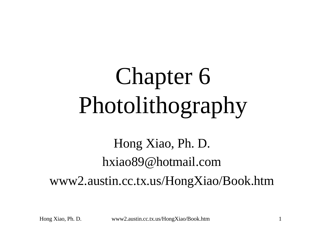# Chapter 6 Photolithography

#### Hong Xiao, Ph. D. hxiao89@hotmail.com www2.austin.cc.tx.us/HongXiao/Book.htm

Hong Xiao, Ph. D. www2.austin.cc.tx.us/HongXiao/Book.htm 1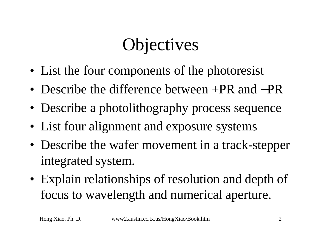#### Objectives

- List the four components of the photoresist
- Describe the difference between +PR and −PR
- Describe a photolithography process sequence
- List four alignment and exposure systems
- Describe the wafer movement in a track-stepper integrated system.
- Explain relationships of resolution and depth of focus to wavelength and numerical aperture.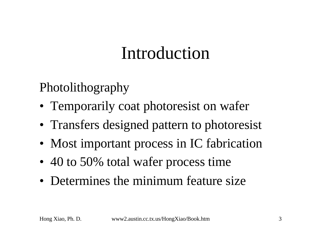#### Introduction

Photolithography

- Temporarily coat photoresist on wafer
- Transfers designed pattern to photoresist
- Most important process in IC fabrication
- 40 to 50% total wafer process time
- Determines the minimum feature size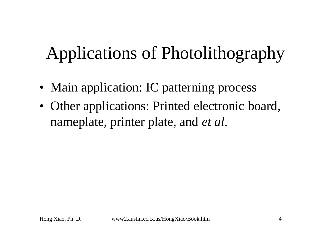# Applications of Photolithography

- Main application: IC patterning process
- Other applications: Printed electronic board, nameplate, printer plate, and *et al*.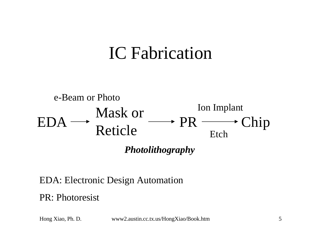#### IC Fabrication



#### EDA: Electronic Design Automation

PR: Photoresist

Hong Xiao, Ph. D. www2.austin.cc.tx.us/HongXiao/Book.htm 5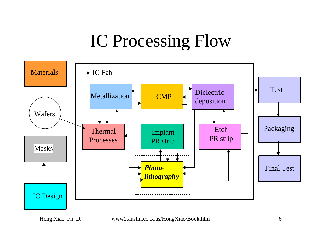#### IC Processing Flow



Hong Xiao, Ph. D. www2.austin.cc.tx.us/HongXiao/Book.htm 6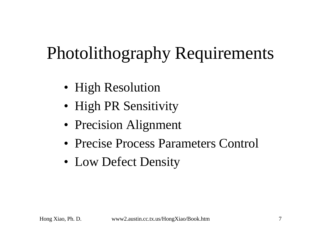# Photolithography Requirements

- High Resolution
- High PR Sensitivity
- Precision Alignment
- Precise Process Parameters Control
- Low Defect Density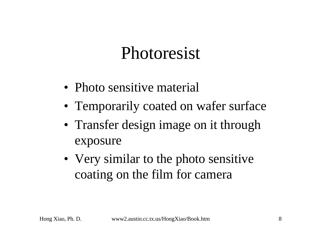#### Photoresist

- Photo sensitive material
- Temporarily coated on wafer surface
- Transfer design image on it through exposure
- Very similar to the photo sensitive coating on the film for camera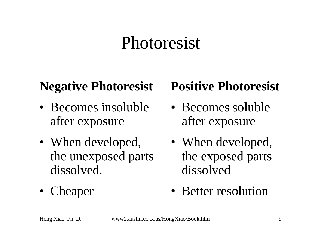#### Photoresist

#### **Negative Photoresist**

- Becomes insoluble after exposure
- When developed, the unexposed parts dissolved.
- Cheaper

#### **Positive Photoresist**

- Becomes soluble after exposure
- When developed, the exposed parts dissolved
- Better resolution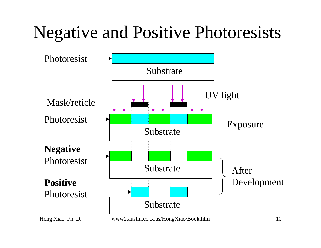#### Negative and Positive Photoresists

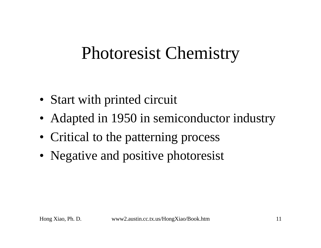#### Photoresist Chemistry

- Start with printed circuit
- Adapted in 1950 in semiconductor industry
- Critical to the patterning process
- Negative and positive photoresist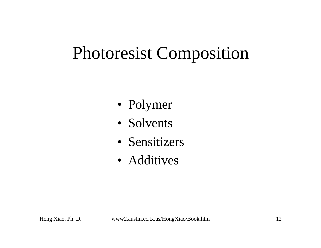#### Photoresist Composition

- Polymer
- Solvents
- Sensitizers
- Additives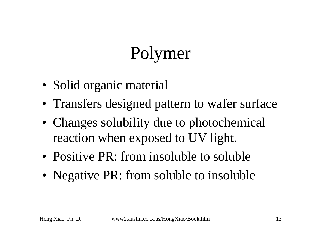# Polymer

- Solid organic material
- Transfers designed pattern to wafer surface
- Changes solubility due to photochemical reaction when exposed to UV light.
- Positive PR: from insoluble to soluble
- Negative PR: from soluble to insoluble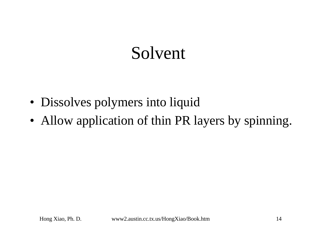#### Solvent

- Dissolves polymers into liquid
- Allow application of thin PR layers by spinning.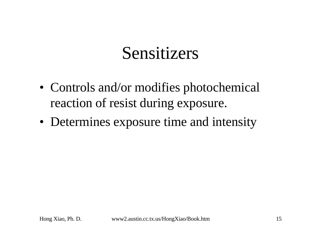#### Sensitizers

- Controls and/or modifies photochemical reaction of resist during exposure.
- Determines exposure time and intensity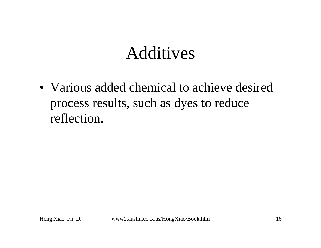#### Additives

• Various added chemical to achieve desired process results, such as dyes to reduce reflection.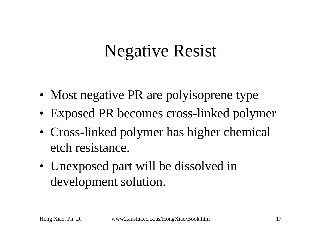#### Negative Resist

- Most negative PR are polyisoprene type
- Exposed PR becomes cross-linked polymer
- Cross-linked polymer has higher chemical etch resistance.
- Unexposed part will be dissolved in development solution.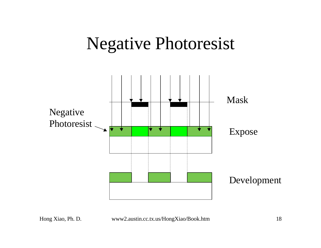#### Negative Photoresist

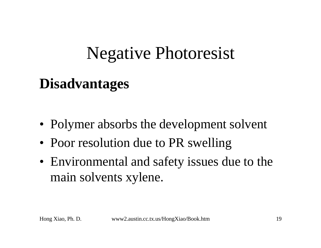#### Negative Photoresist

#### **Disadvantages**

- Polymer absorbs the development solvent
- Poor resolution due to PR swelling
- Environmental and safety issues due to the main solvents xylene.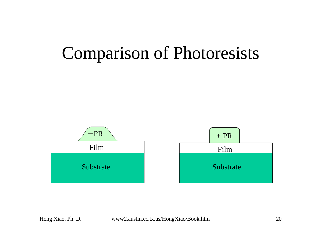#### Comparison of Photoresists

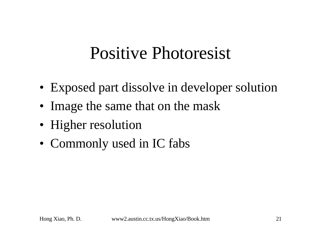#### Positive Photoresist

- Exposed part dissolve in developer solution
- Image the same that on the mask
- Higher resolution
- Commonly used in IC fabs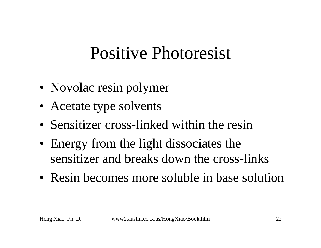#### Positive Photoresist

- Novolac resin polymer
- Acetate type solvents
- Sensitizer cross-linked within the resin
- Energy from the light dissociates the sensitizer and breaks down the cross-links
- Resin becomes more soluble in base solution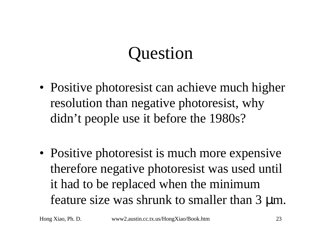#### Question

- Positive photoresist can achieve much higher resolution than negative photoresist, why didn't people use it before the 1980s?
- Positive photoresist is much more expensive therefore negative photoresist was used until it had to be replaced when the minimum feature size was shrunk to smaller than 3 μm.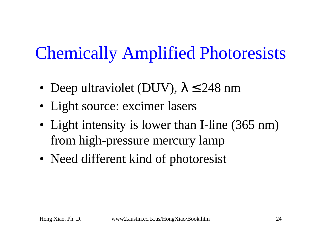#### Chemically Amplified Photoresists

- Deep ultraviolet (DUV),  $\lambda \le 248$  nm
- Light source: excimer lasers
- Light intensity is lower than I-line (365 nm) from high-pressure mercury lamp
- Need different kind of photoresist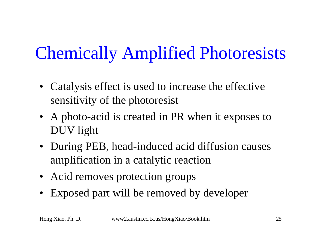# Chemically Amplified Photoresists

- Catalysis effect is used to increase the effective sensitivity of the photoresist
- A photo-acid is created in PR when it exposes to DUV light
- During PEB, head-induced acid diffusion causes amplification in a catalytic reaction
- Acid removes protection groups
- Exposed part will be removed by developer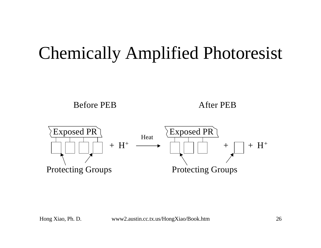#### Chemically Amplified Photoresist

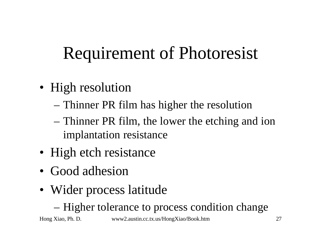### Requirement of Photoresist

- High resolution
	- Thinner PR film has higher the resolution
	- Thinner PR film, the lower the etching and ion implantation resistance
- High etch resistance
- Good adhesion
- Wider process latitude
	- Higher tolerance to process condition change

Hong Xiao, Ph. D. www2.austin.cc.tx.us/HongXiao/Book.htm 27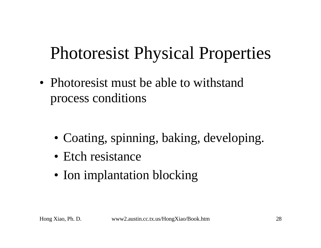#### Photoresist Physical Properties

- Photoresist must be able to withstand process conditions
	- Coating, spinning, baking, developing.
	- Etch resistance
	- Ion implantation blocking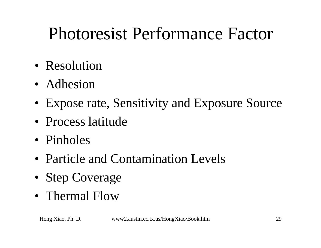#### Photoresist Performance Factor

- Resolution
- Adhesion
- Expose rate, Sensitivity and Exposure Source
- Process latitude
- Pinholes
- Particle and Contamination Levels
- Step Coverage
- Thermal Flow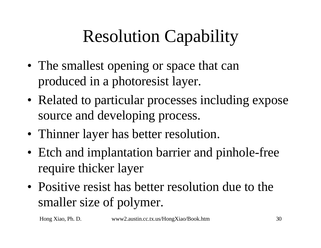# Resolution Capability

- The smallest opening or space that can produced in a photoresist layer.
- Related to particular processes including expose source and developing process.
- Thinner layer has better resolution.
- Etch and implantation barrier and pinhole-free require thicker layer
- Positive resist has better resolution due to the smaller size of polymer.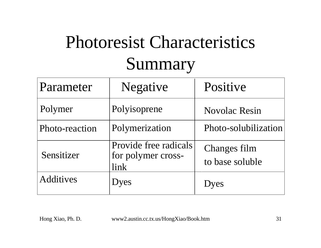#### Photoresist Characteristics Summary

| Parameter        | <b>Negative</b>                                     | Positive                        |
|------------------|-----------------------------------------------------|---------------------------------|
| Polymer          | Polyisoprene                                        | <b>Novolac Resin</b>            |
| Photo-reaction   | Polymerization                                      | Photo-solubilization            |
| Sensitizer       | Provide free radicals<br>for polymer cross-<br>link | Changes film<br>to base soluble |
| <b>Additives</b> | Dyes                                                | Dyes                            |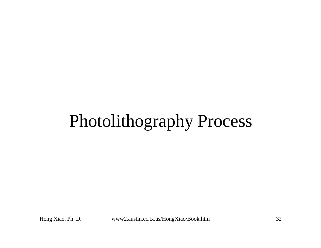#### Photolithography Process

Hong Xiao, Ph. D. www2.austin.cc.tx.us/HongXiao/Book.htm 32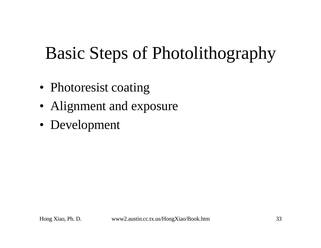#### Basic Steps of Photolithography

- Photoresist coating
- Alignment and exposure
- Development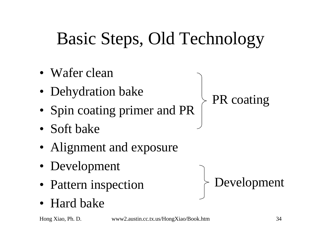# Basic Steps, Old Technology

- Wafer clean
- Dehydration bake
- Spin coating primer and PR
- Soft bake
- Alignment and exposure
- Development
- Pattern inspection
- Hard bake

Hong Xiao, Ph. D. www2.austin.cc.tx.us/HongXiao/Book.htm 34

PR coating

Development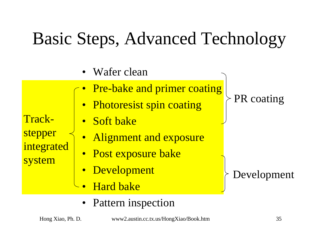#### Basic Steps, Advanced Technology

Wafer clean

- Trackstepper integrated system
- Pre-bake and primer coating
- Photoresist spin coating
- Soft bake
- Alignment and exposure
- Post exposure bake
- Development
- Hard bake
- Pattern inspection

PR coating

Development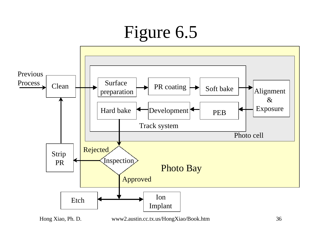#### Figure 6.5

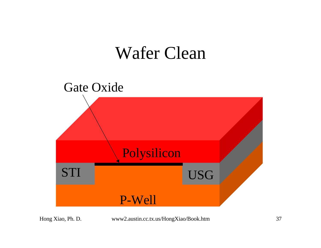#### Wafer Clean

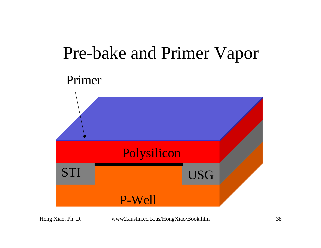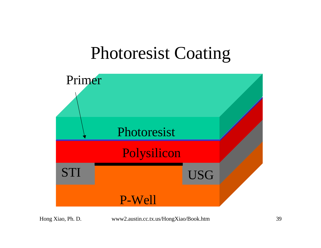### Photoresist Coating

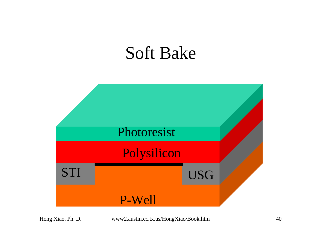#### Soft Bake

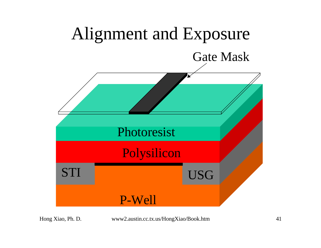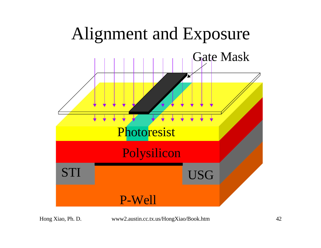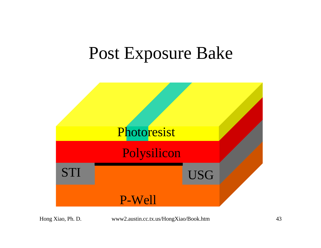#### Post Exposure Bake

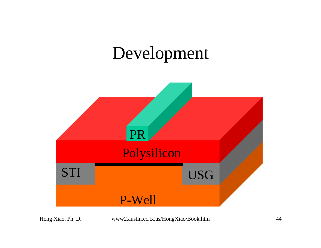### Development



Hong Xiao, Ph. D.

www2.austin.cc.tx.us/HongXiao/Book.htm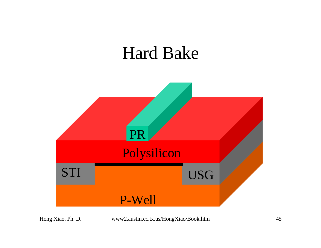#### Hard Bake

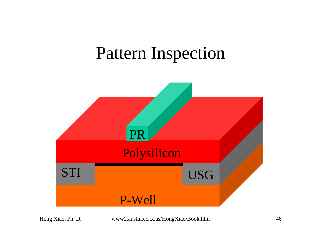### **Pattern Inspection**



www2.austin.cc.tx.us/HongXiao/Book.htm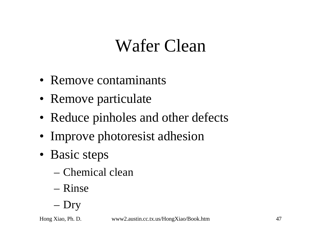### Wafer Clean

- Remove contaminants
- Remove particulate
- Reduce pinholes and other defects
- Improve photoresist adhesion
- Basic steps
	- Chemical clean
	- Rinse
	- Dry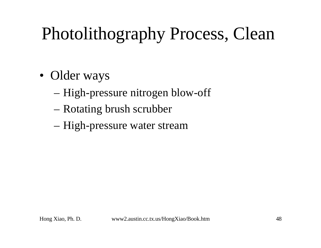## Photolithography Process, Clean

- Older ways
	- High-pressure nitrogen blow-off
	- Rotating brush scrubber
	- High-pressure water stream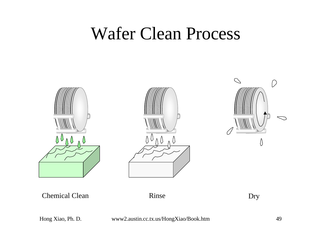#### Wafer Clean Process





Chemical Clean Rinse Dry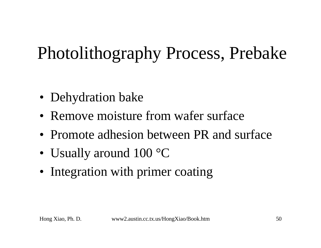## Photolithography Process, Prebake

- Dehydration bake
- Remove moisture from wafer surface
- Promote adhesion between PR and surface
- Usually around 100 °C
- Integration with primer coating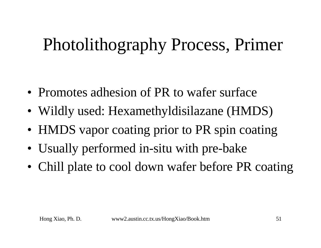## Photolithography Process, Primer

- Promotes adhesion of PR to wafer surface
- Wildly used: Hexamethyldisilazane (HMDS)
- HMDS vapor coating prior to PR spin coating
- Usually performed in-situ with pre-bake
- Chill plate to cool down wafer before PR coating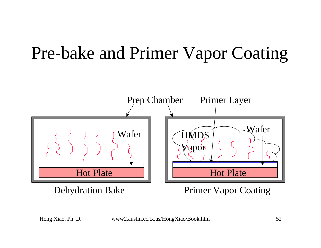### Pre-bake and Primer Vapor Coating

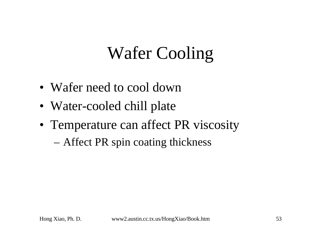## Wafer Cooling

- Wafer need to cool down
- Water-cooled chill plate
- Temperature can affect PR viscosity
	- Affect PR spin coating thickness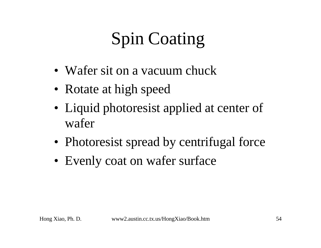# Spin Coating

- Wafer sit on a vacuum chuck
- Rotate at high speed
- Liquid photoresist applied at center of wafer
- Photoresist spread by centrifugal force
- Evenly coat on wafer surface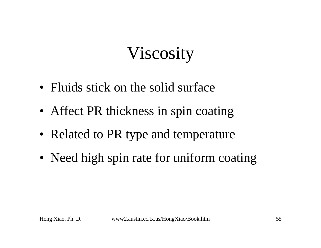## Viscosity

- Fluids stick on the solid surface
- Affect PR thickness in spin coating
- Related to PR type and temperature
- Need high spin rate for uniform coating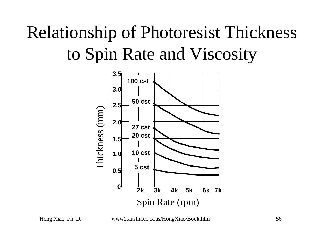## Relationship of Photoresist Thickness to Spin Rate and Viscosity



Hong Xiao, Ph. D. www2.austin.cc.tx.us/HongXiao/Book.htm 56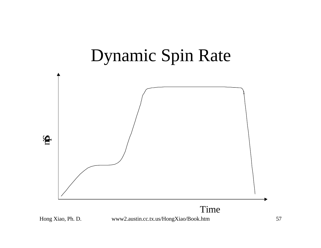#### Dynamic Spin Rate

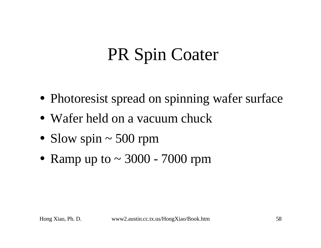## **PR Spin Coater**

- Photoresist spread on spinning wafer surface
- Wafer held on a vacuum chuck
- Slow spin  $\sim$  500 rpm
- Ramp up to  $\sim$  3000 7000 rpm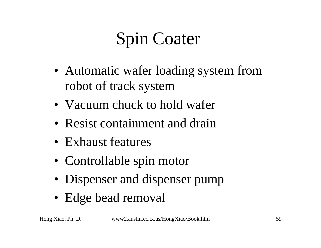# Spin Coater

- Automatic wafer loading system from robot of track system
- Vacuum chuck to hold wafer
- Resist containment and drain
- Exhaust features
- Controllable spin motor
- Dispenser and dispenser pump
- Edge bead removal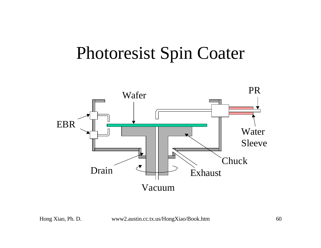### Photoresist Spin Coater

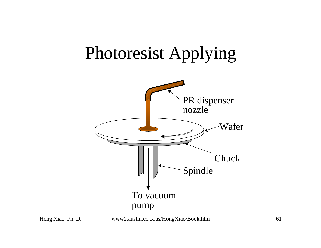### Photoresist Applying





www2.austin.cc.tx.us/HongXiao/Book.htm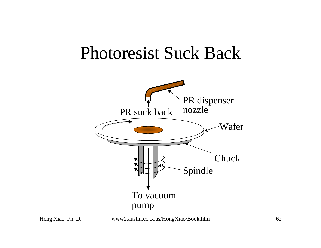#### Photoresist Suck Back

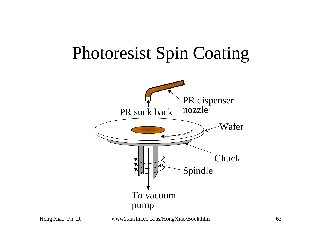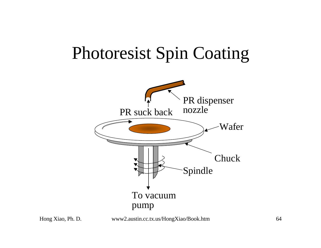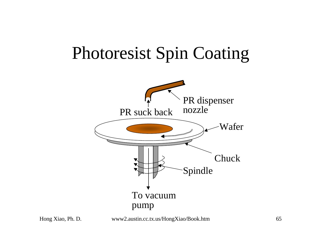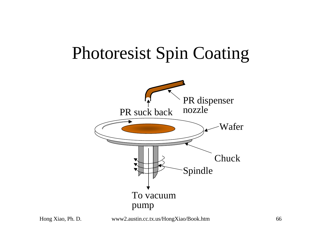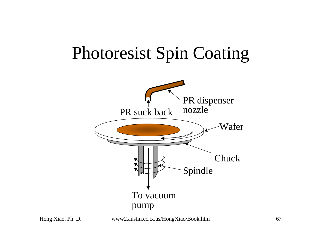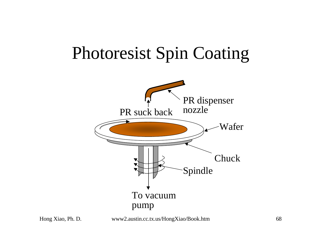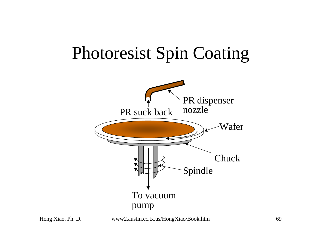

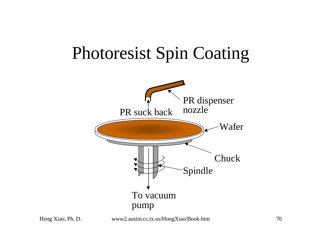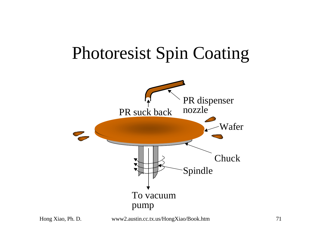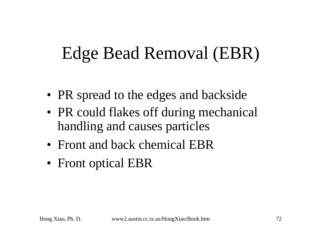## Edge Bead Removal (EBR)

- PR spread to the edges and backside
- PR could flakes off during mechanical handling and causes particles
- Front and back chemical EBR
- Front optical EBR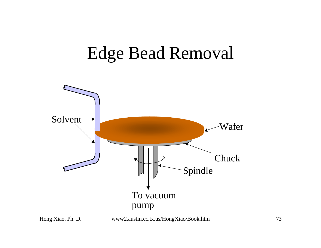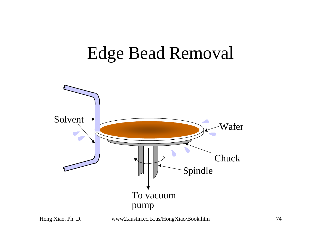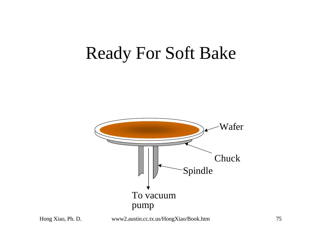#### Ready For Soft Bake



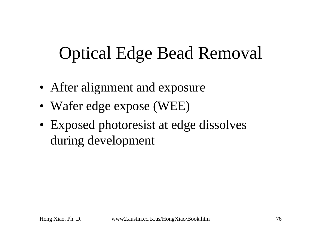# Optical Edge Bead Removal

- After alignment and exposure
- Wafer edge expose (WEE)
- Exposed photoresist at edge dissolves during development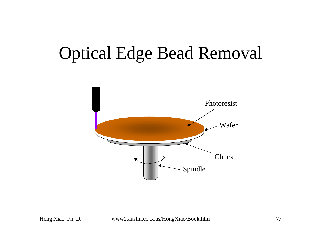#### Optical Edge Bead Removal

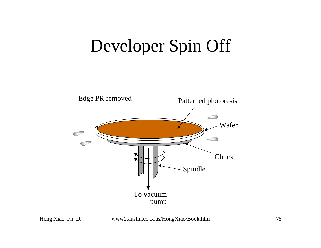## Developer Spin Off



Hong Xiao, Ph. D. www2.austin.cc.tx.us/HongXiao/Book.htm 78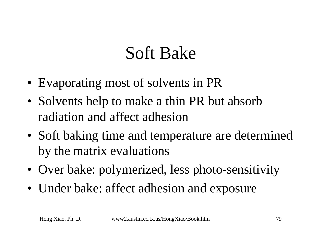# Soft Bake

- Evaporating most of solvents in PR
- Solvents help to make a thin PR but absorb radiation and affect adhesion
- Soft baking time and temperature are determined by the matrix evaluations
- Over bake: polymerized, less photo-sensitivity
- Under bake: affect adhesion and exposure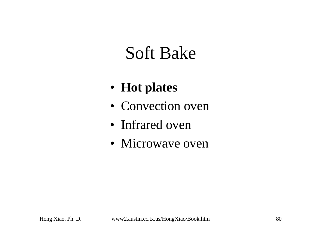### Soft Bake

- **Hot plates**
- Convection oven
- Infrared oven
- Microwave oven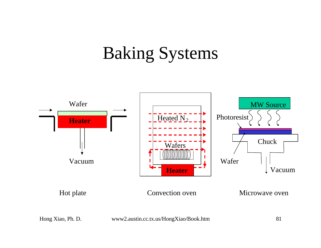## Baking Systems

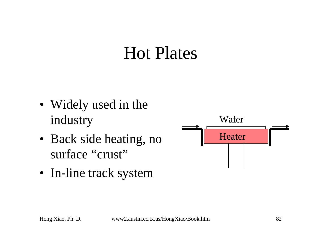#### Hot Plates

- Widely used in the industry
- Back side heating, no surface "crust"
- In-line track system

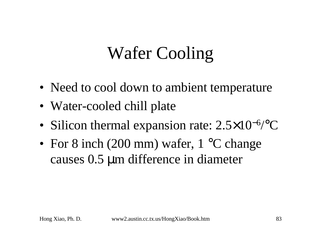# Wafer Cooling

- Need to cool down to ambient temperature
- Water-cooled chill plate
- Silicon thermal expansion rate: 2.5×10<sup>-6</sup>/°C
- For 8 inch (200 mm) wafer, 1 °C change causes 0.5 μm difference in diameter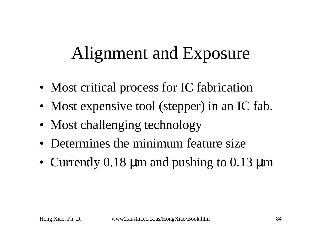### Alignment and Exposure

- Most critical process for IC fabrication
- Most expensive tool (stepper) in an IC fab.
- Most challenging technology
- Determines the minimum feature size
- Currently 0.18 μm and pushing to 0.13 μm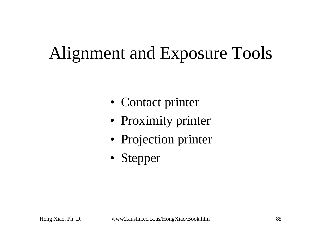# Alignment and Exposure Tools

- Contact printer
- Proximity printer
- Projection printer
- Stepper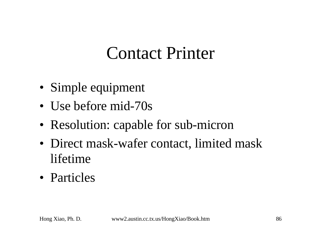### Contact Printer

- Simple equipment
- Use before mid-70s
- Resolution: capable for sub-micron
- Direct mask-wafer contact, limited mask lifetime
- Particles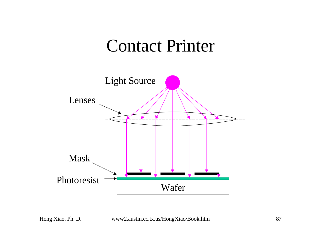#### Contact Printer

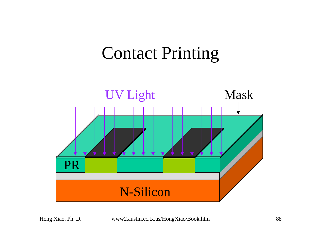#### Contact Printing

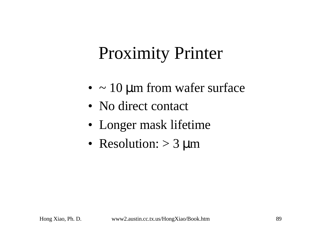# Proximity Printer

- $\bullet \sim 10 \,\mu m$  from wafer surface
- No direct contact
- Longer mask lifetime
- Resolution:  $> 3 \mu m$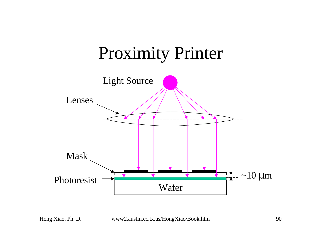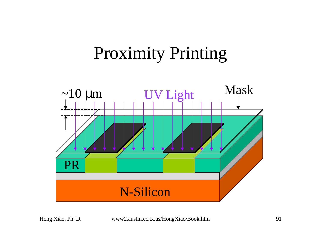## Proximity Printing

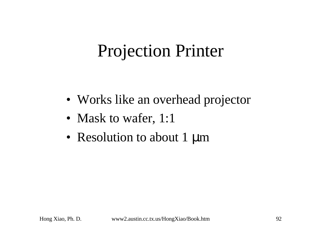## Projection Printer

- Works like an overhead projector
- Mask to wafer, 1:1
- Resolution to about 1  $\mu$ m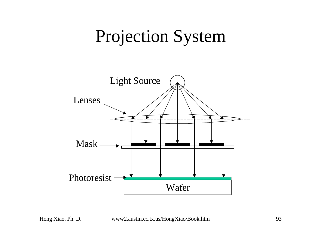#### Projection System

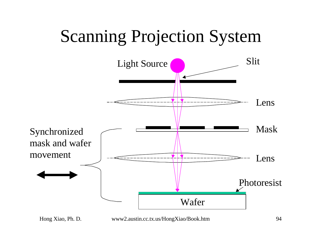## Scanning Projection System

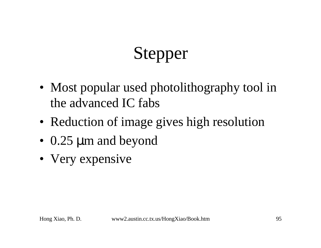# Stepper

- Most popular used photolithography tool in the advanced IC fabs
- Reduction of image gives high resolution
- 0.25 μm and beyond
- Very expensive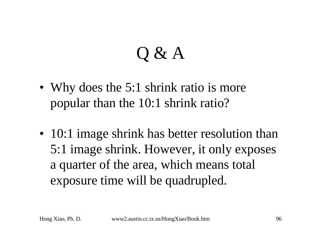# Q & A

- Why does the 5:1 shrink ratio is more popular than the 10:1 shrink ratio?
- 10:1 image shrink has better resolution than 5:1 image shrink. However, it only exposes a quarter of the area, which means total exposure time will be quadrupled.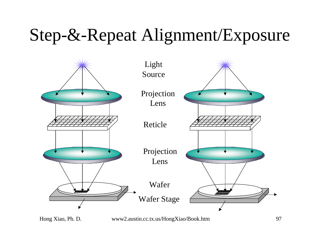#### Step-&-Repeat Alignment/Exposure

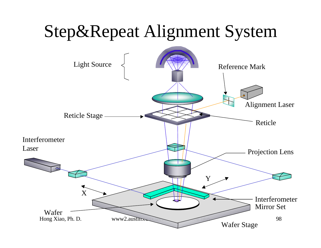# Step&Repeat Alignment System

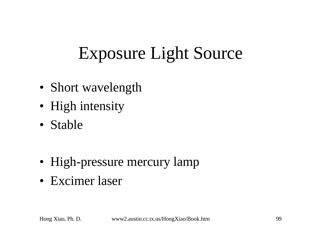# Exposure Light Source

- Short wavelength
- High intensity
- Stable
- High-pressure mercury lamp
- Excimer laser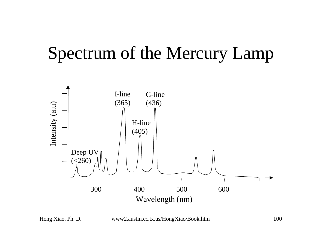#### Spectrum of the Mercury Lamp

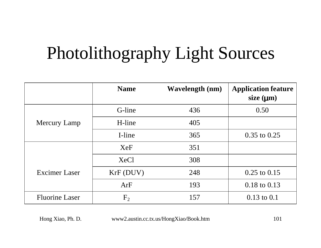# Photolithography Light Sources

|                       | <b>Name</b>    | <b>Wavelength</b> (nm) | <b>Application feature</b><br>size $(mn)$ |
|-----------------------|----------------|------------------------|-------------------------------------------|
|                       | G-line         | 436                    | 0.50                                      |
| Mercury Lamp          | H-line         | 405                    |                                           |
|                       | I-line         | 365                    | $0.35$ to $0.25$                          |
|                       | <b>XeF</b>     | 351                    |                                           |
| <b>Excimer Laser</b>  | <b>XeCl</b>    | 308                    |                                           |
|                       | KrF(DUV)       | 248                    | $0.25$ to $0.15$                          |
|                       | ArF            | 193                    | $0.18$ to $0.13$                          |
| <b>Fluorine Laser</b> | F <sub>2</sub> | 157                    | $0.13$ to $0.1$                           |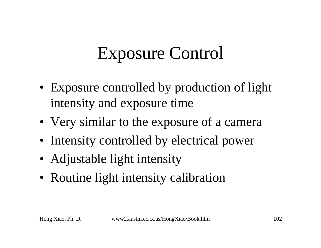# Exposure Control

- Exposure controlled by production of light intensity and exposure time
- Very similar to the exposure of a camera
- Intensity controlled by electrical power
- Adjustable light intensity
- Routine light intensity calibration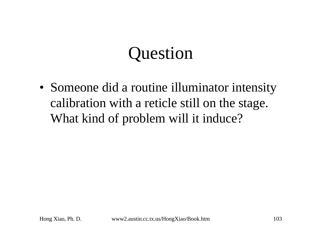# Question

• Someone did a routine illuminator intensity calibration with a reticle still on the stage. What kind of problem will it induce?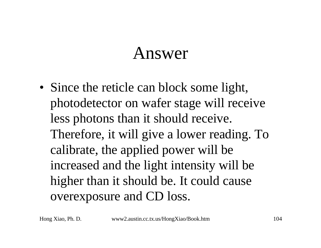#### Answer

• Since the reticle can block some light, photodetector on wafer stage will receive less photons than it should receive. Therefore, it will give a lower reading. To calibrate, the applied power will be increased and the light intensity will be higher than it should be. It could cause overexposure and CD loss.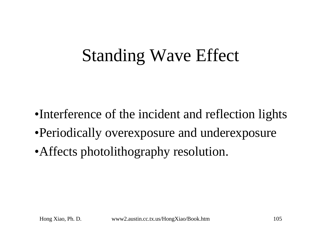## Standing Wave Effect

- •Interference of the incident and reflection lights
- •Periodically overexposure and underexposure
- •Affects photolithography resolution.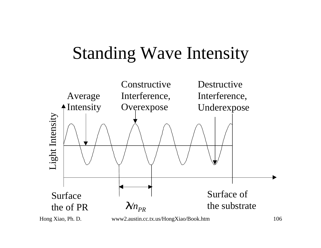# Standing Wave Intensity

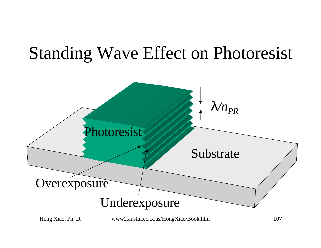#### Standing Wave Effect on Photoresist

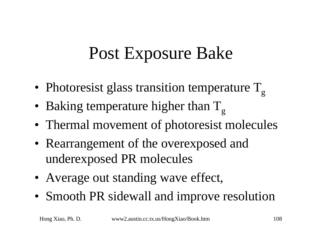# Post Exposure Bake

- Photoresist glass transition temperature  $T_{\alpha}$
- Baking temperature higher than  $T_{g}$
- Thermal movement of photoresist molecules
- Rearrangement of the overexposed and underexposed PR molecules
- Average out standing wave effect,
- Smooth PR sidewall and improve resolution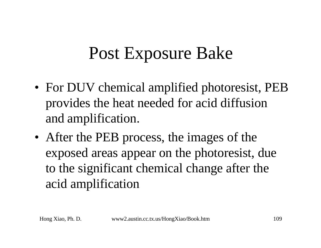## Post Exposure Bake

- For DUV chemical amplified photoresist, PEB provides the heat needed for acid diffusion and amplification.
- After the PEB process, the images of the exposed areas appear on the photoresist, due to the significant chemical change after the acid amplification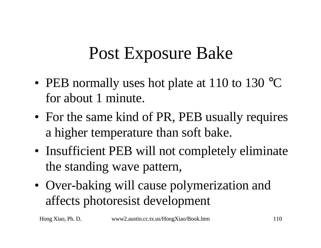## Post Exposure Bake

- PEB normally uses hot plate at 110 to 130 °C for about 1 minute.
- For the same kind of PR, PEB usually requires a higher temperature than soft bake.
- Insufficient PEB will not completely eliminate the standing wave pattern,
- Over-baking will cause polymerization and affects photoresist development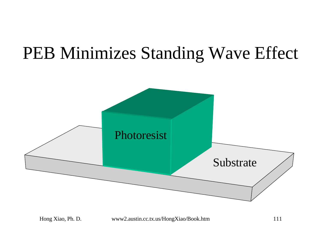### PEB Minimizes Standing Wave Effect

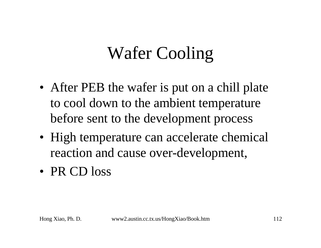## Wafer Cooling

- After PEB the wafer is put on a chill plate to cool down to the ambient temperature before sent to the development process
- High temperature can accelerate chemical reaction and cause over-development,
- PR CD loss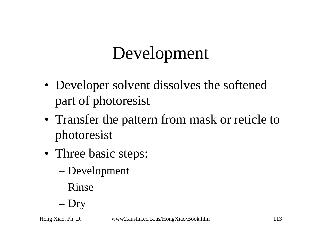## Development

- Developer solvent dissolves the softened part of photoresist
- Transfer the pattern from mask or reticle to photoresist
- Three basic steps:
	- Development
	- Rinse
	- Dry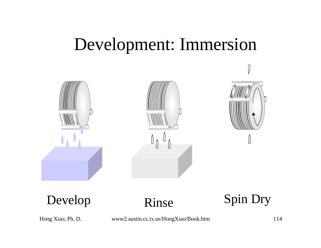#### Development: Immersion







Develop Rinse Spin Dry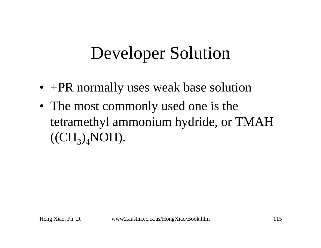## Developer Solution

- +PR normally uses weak base solution
- The most commonly used one is the tetramethyl ammonium hydride, or TMAH  $((CH_3)_4NOH).$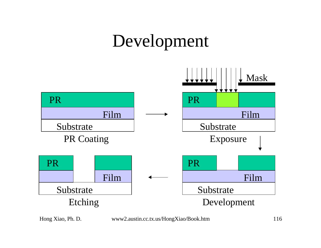## Development

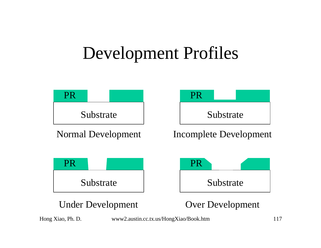#### Development Profiles

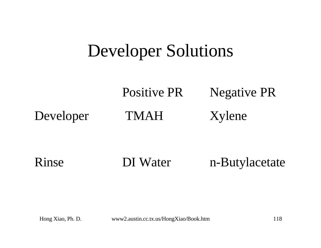#### Developer Solutions

Positive PR Negative PR Developer TMAH Xylene

Rinse DI Water n-Butylacetate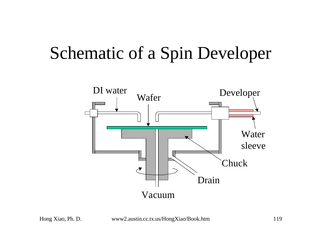### Schematic of a Spin Developer

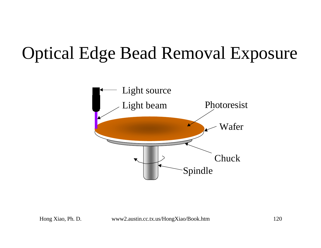## Optical Edge Bead Removal Exposure

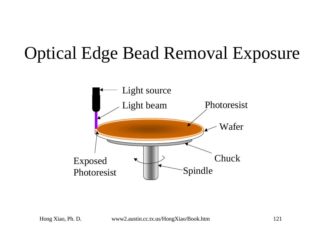## Optical Edge Bead Removal Exposure

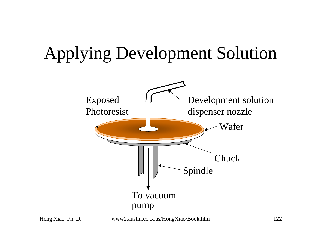### Applying Development Solution

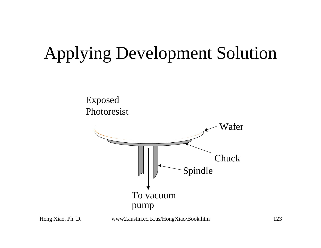## Applying Development Solution



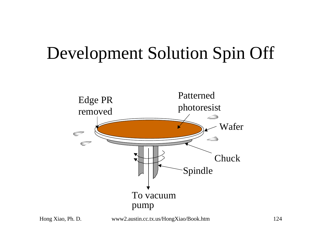### Development Solution Spin Off

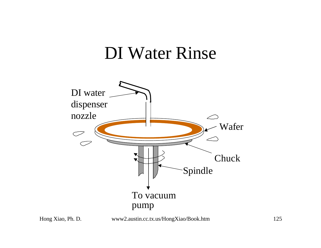#### DI Water Rinse

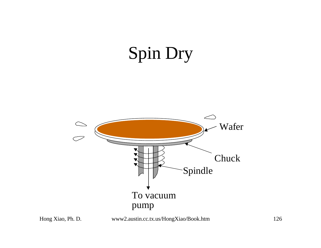# Spin Dry



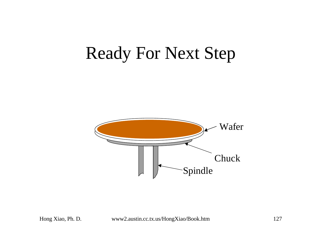#### Ready For Next Step

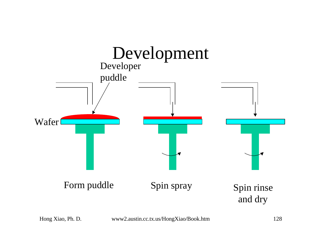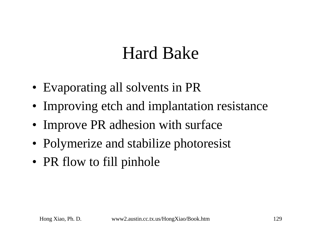### Hard Bake

- Evaporating all solvents in PR
- Improving etch and implantation resistance
- Improve PR adhesion with surface
- Polymerize and stabilize photoresist
- PR flow to fill pinhole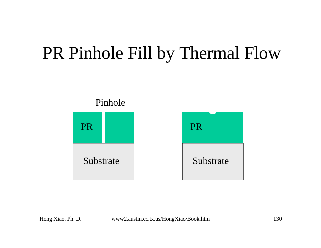### PR Pinhole Fill by Thermal Flow

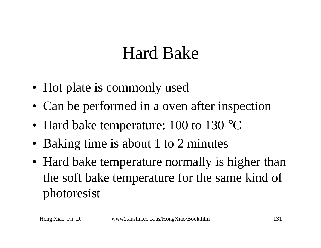## Hard Bake

- Hot plate is commonly used
- Can be performed in a oven after inspection
- Hard bake temperature: 100 to 130 °C
- Baking time is about 1 to 2 minutes
- Hard bake temperature normally is higher than the soft bake temperature for the same kind of photoresist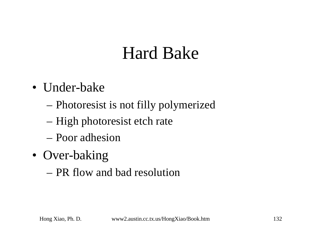## Hard Bake

- Under-bake
	- Photoresist is not filly polymerized
	- High photoresist etch rate
	- Poor adhesion
- Over-baking
	- PR flow and bad resolution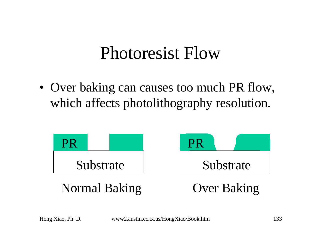#### Photoresist Flow

• Over baking can causes too much PR flow, which affects photolithography resolution.

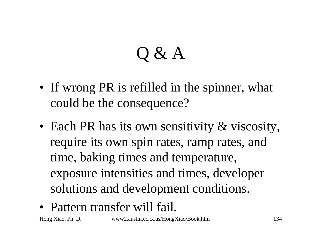# Q & A

- If wrong PR is refilled in the spinner, what could be the consequence?
- Each PR has its own sensitivity & viscosity, require its own spin rates, ramp rates, and time, baking times and temperature, exposure intensities and times, developer solutions and development conditions.
- Pattern transfer will fail.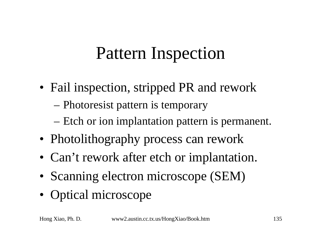## Pattern Inspection

- Fail inspection, stripped PR and rework
	- Photoresist pattern is temporary
	- Etch or ion implantation pattern is permanent.
- Photolithography process can rework
- Can't rework after etch or implantation.
- Scanning electron microscope (SEM)
- Optical microscope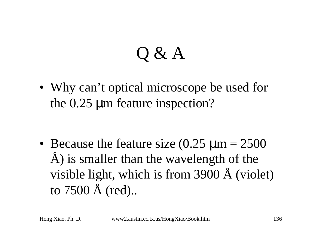# Q & A

• Why can't optical microscope be used for the 0.25 μm feature inspection?

• Because the feature size  $(0.25 \text{ }\mu\text{m} = 2500$ Å) is smaller than the wavelength of the visible light, which is from 3900 Å (violet) to 7500 Å (red)..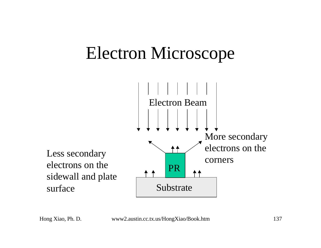### Electron Microscope

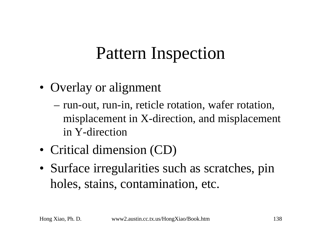## Pattern Inspection

- Overlay or alignment
	- run-out, run-in, reticle rotation, wafer rotation, misplacement in X-direction, and misplacement in Y-direction
- Critical dimension (CD)
- Surface irregularities such as scratches, pin holes, stains, contamination, etc.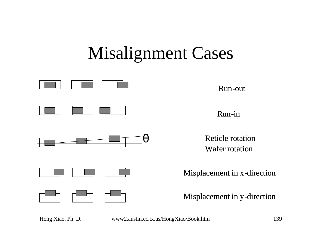## Misalignment Cases

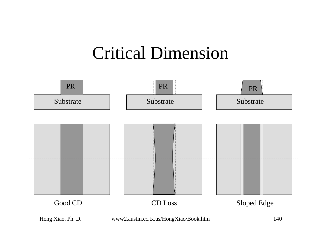#### Critical Dimension

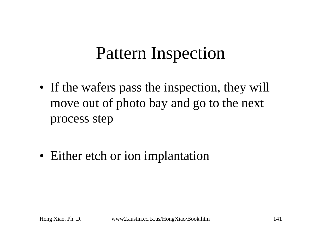### Pattern Inspection

- If the wafers pass the inspection, they will move out of photo bay and go to the next process step
- Either etch or ion implantation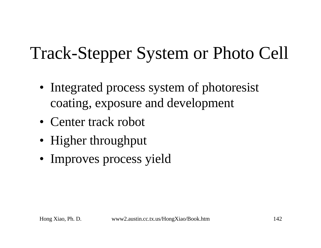## Track-Stepper System or Photo Cell

- Integrated process system of photoresist coating, exposure and development
- Center track robot
- Higher throughput
- Improves process yield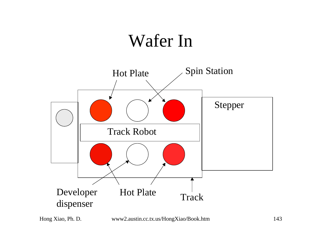### Wafer In

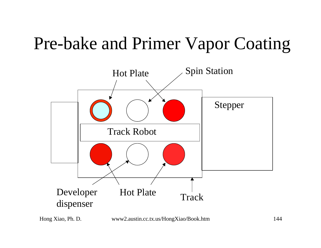### Pre-bake and Primer Vapor Coating

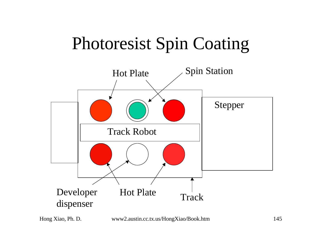# Photoresist Spin Coating

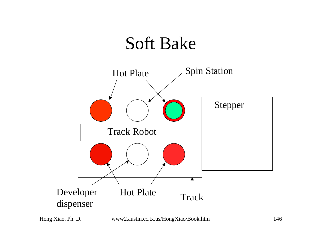### Soft Bake

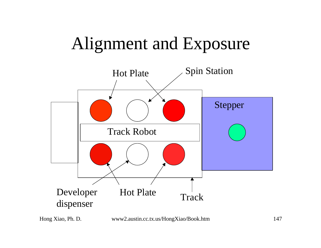### Alignment and Exposure

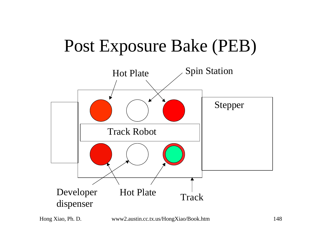# Post Exposure Bake (PEB)

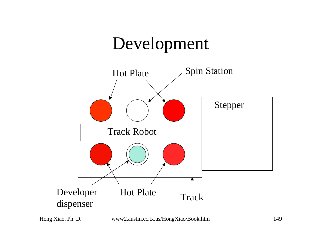### Development

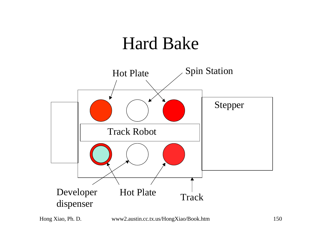#### Hard Bake

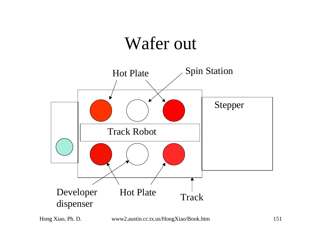### Wafer out

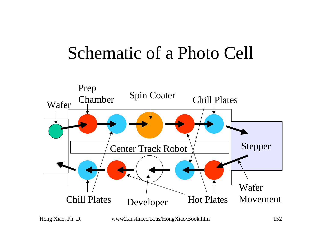### Schematic of a Photo Cell

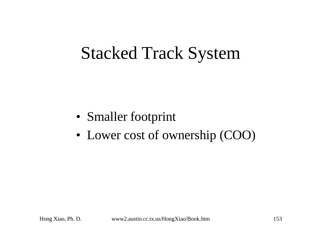### Stacked Track System

- Smaller footprint
- Lower cost of ownership (COO)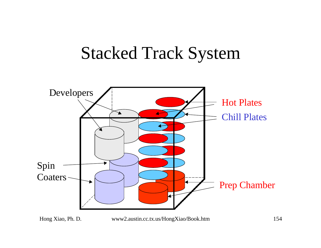#### Stacked Track System

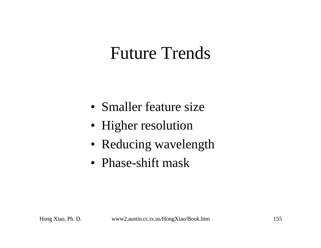### Future Trends

- Smaller feature size
- Higher resolution
- Reducing wavelength
- Phase-shift mask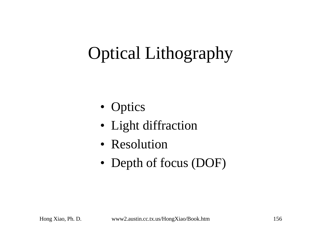# Optical Lithography

- Optics
- Light diffraction
- Resolution
- Depth of focus (DOF)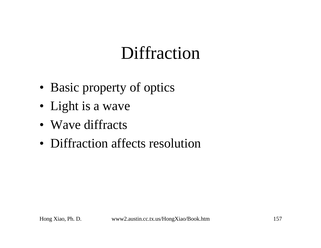# **Diffraction**

- Basic property of optics
- Light is a wave
- Wave diffracts
- Diffraction affects resolution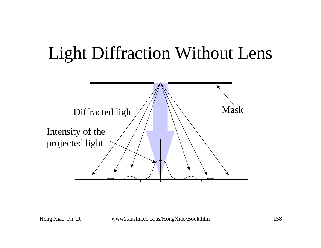# Light Diffraction Without Lens

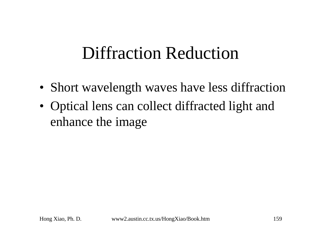### Diffraction Reduction

- Short wavelength waves have less diffraction
- Optical lens can collect diffracted light and enhance the image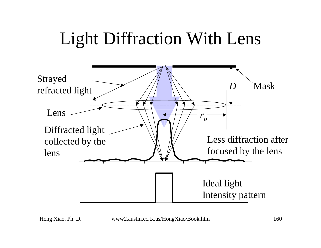# Light Diffraction With Lens

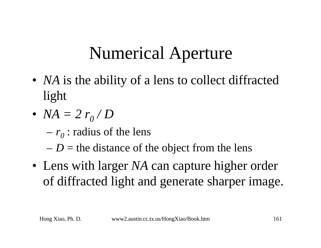# Numerical Aperture

- *NA* is the ability of a lens to collect diffracted light
- $NA = 2 r_0 / D$ 
	- $-r_0$ : radius of the lens
	- $-D =$  the distance of the object from the lens
- Lens with larger *NA* can capture higher order of diffracted light and generate sharper image.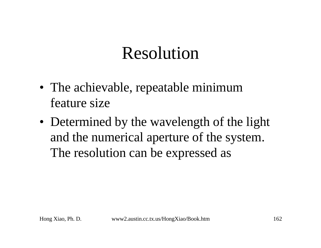# Resolution

- The achievable, repeatable minimum feature size
- Determined by the wavelength of the light and the numerical aperture of the system. The resolution can be expressed as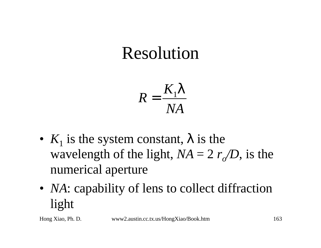# Resolution

$$
R = \frac{K_1 I}{NA}
$$

- $K_1$  is the system constant,  $\boldsymbol{I}$  is the wavelength of the light,  $NA = 2 r_o/D$ , is the numerical aperture
- *NA*: capability of lens to collect diffraction light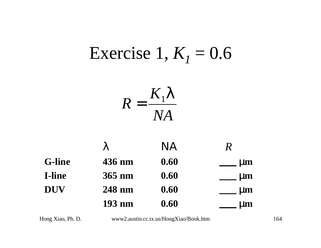#### Exercise 1,  $K<sub>1</sub> = 0.6$ *NA K R* 1*l* =

|               |        | NA   | $\boldsymbol{\mathcal{R}}$ |
|---------------|--------|------|----------------------------|
| <b>G-line</b> | 436 nm | 0.60 | <b>IIII</b>                |
| I-line        | 365 nm | 0.60 | nm                         |
| <b>DUV</b>    | 248 nm | 0.60 | mm                         |
|               | 193 nm | 0.60 | $\blacksquare$             |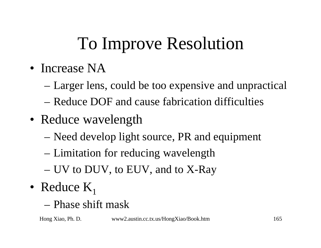# To Improve Resolution

- Increase NA
	- Larger lens, could be too expensive and unpractical
	- Reduce DOF and cause fabrication difficulties
- Reduce wavelength
	- Need develop light source, PR and equipment
	- Limitation for reducing wavelength
	- UV to DUV, to EUV, and to X-Ray
- Reduce  $K_1$ 
	- Phase shift mask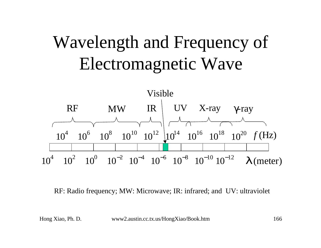# Wavelength and Frequency of Electromagnetic Wave



RF: Radio frequency; MW: Microwave; IR: infrared; and UV: ultraviolet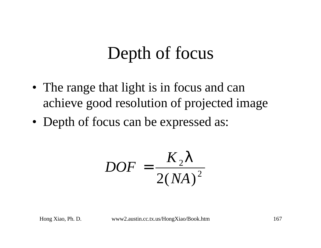# Depth of focus

- The range that light is in focus and can achieve good resolution of projected image
- Depth of focus can be expressed as:

$$
DOF = \frac{K_2 I}{2(NA)^2}
$$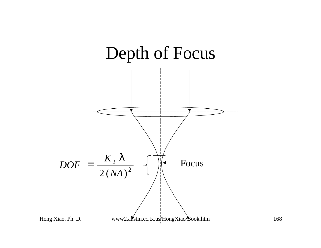

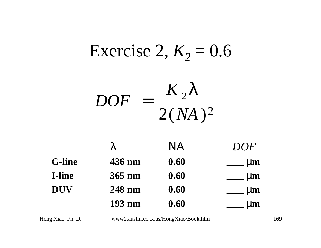# Exercise 2,  $K_2 = 0.6$

$$
DOF = \frac{K_2 I}{2(NA)^2}
$$

|               |        | NA   | DOF   |
|---------------|--------|------|-------|
| <b>G-line</b> | 436 nm | 0.60 | m     |
| <b>I-line</b> | 365 nm | 0.60 | mm    |
| <b>DUV</b>    | 248 nm | 0.60 | mm    |
|               | 193 nm | 0.60 | 1 I O |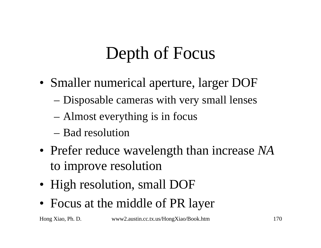# Depth of Focus

- Smaller numerical aperture, larger DOF
	- Disposable cameras with very small lenses
	- Almost everything is in focus
	- Bad resolution
- Prefer reduce wavelength than increase *NA* to improve resolution
- High resolution, small DOF
- Focus at the middle of PR layer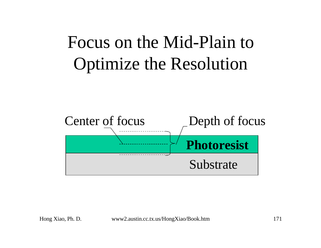# Focus on the Mid-Plain to Optimize the Resolution

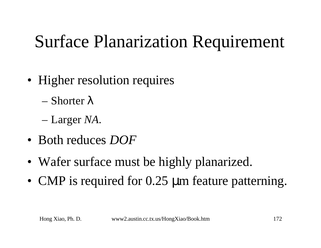# Surface Planarization Requirement

- Higher resolution requires
	- Shorter *l*
	- Larger *NA*.
- Both reduces *DOF*
- Wafer surface must be highly planarized.
- CMP is required for 0.25 μm feature patterning.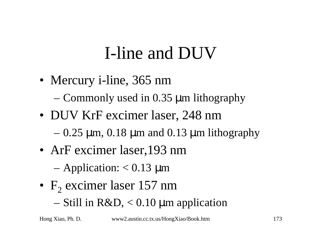# I-line and DUV

• Mercury *i*-line, 365 nm

– Commonly used in 0.35 μm lithography

- DUV KrF excimer laser, 248 nm
	- $-0.25$  μm, 0.18 μm and 0.13 μm lithography
- ArF excimer laser, 193 nm

 $-$  Application:  $< 0.13 \mu$ m

- $F_2$  excimer laser 157 nm
	- Still in R&D, < 0.10 μm application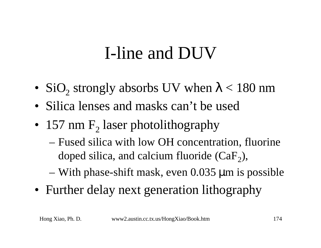# I-line and DUV

- SiO<sub>2</sub> strongly absorbs UV when  $\lambda$  < 180 nm
- Silica lenses and masks can't be used
- 157 nm  $F_2$  laser photolithography
	- Fused silica with low OH concentration, fluorine doped silica, and calcium fluoride  $(CaF_2)$ ,
	- With phase-shift mask, even 0.035 μm is possible
- Further delay next generation lithography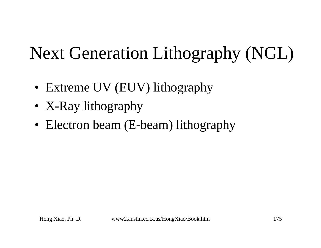# Next Generation Lithography (NGL)

- Extreme UV (EUV) lithography
- X-Ray lithography
- Electron beam (E-beam) lithography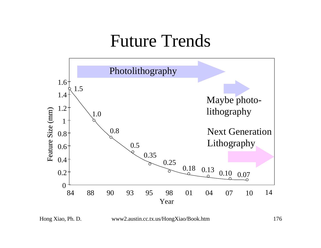#### Future Trends



Hong Xiao, Ph. D. www2.austin.cc.tx.us/HongXiao/Book.htm 176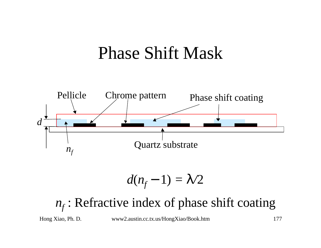#### Phase Shift Mask



$$
d(n_f-1)=1/2
$$

#### *nf* : Refractive index of phase shift coating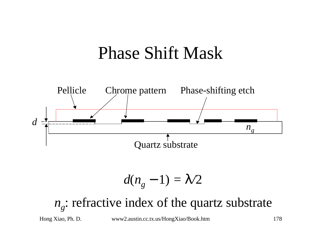#### Phase Shift Mask



$$
d(n_g-1)=1/2
$$

#### *ng* : refractive index of the quartz substrate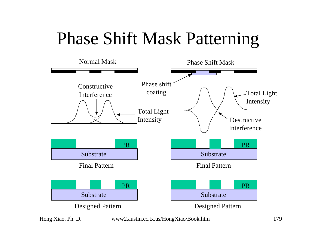### Phase Shift Mask Patterning



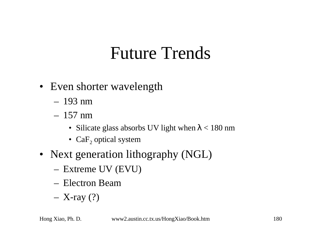### Future Trends

- Even shorter wavelength
	- 193 nm
	- 157 nm
		- Silicate glass absorbs UV light when  $\lambda$  < 180 nm
		- $\text{CaF}_2$  optical system
- Next generation lithography (NGL)
	- Extreme UV (EVU)
	- Electron Beam
	- $-$  X-ray  $(?)$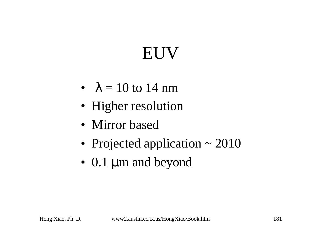# EUV

- $\lambda = 10$  to 14 nm
- Higher resolution
- Mirror based
- Projected application ~ 2010
- 0.1 μm and beyond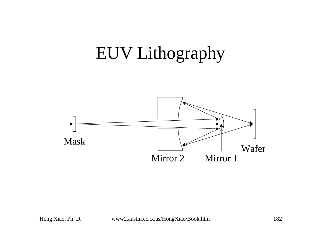## EUV Lithography

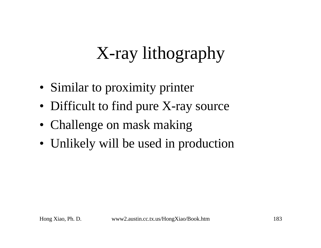# X-ray lithography

- Similar to proximity printer
- Difficult to find pure X-ray source
- Challenge on mask making
- Unlikely will be used in production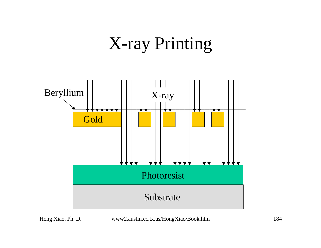## X-ray Printing

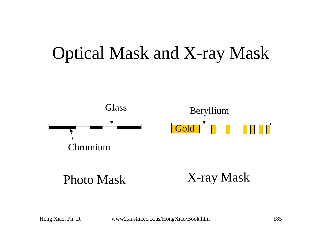### Optical Mask and X-ray Mask



Hong Xiao, Ph. D. www2.austin.cc.tx.us/HongXiao/Book.htm 185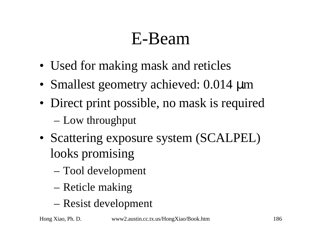# E-Beam

- Used for making mask and reticles
- Smallest geometry achieved: 0.014 μm
- Direct print possible, no mask is required – Low throughput
- Scattering exposure system (SCALPEL) looks promising
	- Tool development
	- Reticle making
	- Resist development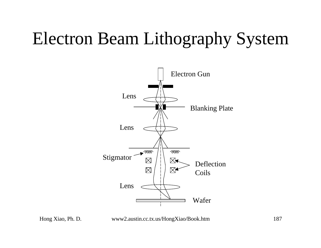## Electron Beam Lithography System



Hong Xiao, Ph. D. www2.austin.cc.tx.us/HongXiao/Book.htm 187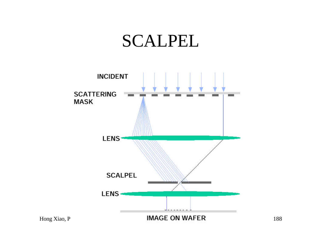#### SCALPEL



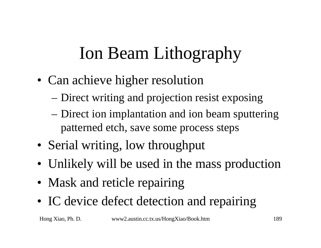# Ion Beam Lithography

- Can achieve higher resolution
	- Direct writing and projection resist exposing
	- Direct ion implantation and ion beam sputtering patterned etch, save some process steps
- Serial writing, low throughput
- Unlikely will be used in the mass production
- Mask and reticle repairing
- IC device defect detection and repairing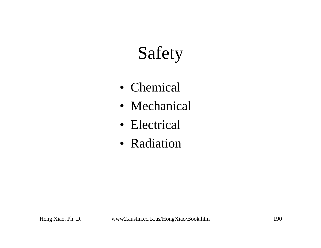# Safety

- Chemical
- Mechanical
- Electrical
- Radiation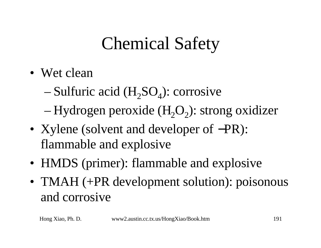# Chemical Safety

- Wet clean
	- $-$  Sulfuric acid (H<sub>2</sub>SO<sub>4</sub>): corrosive
	- $-$  Hydrogen peroxide (H<sub>2</sub>O<sub>2</sub>): strong oxidizer
- Xylene (solvent and developer of –PR): flammable and explosive
- HMDS (primer): flammable and explosive
- TMAH (+PR development solution): poisonous and corrosive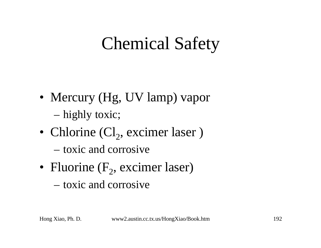## Chemical Safety

- Mercury (Hg, UV lamp) vapor – highly toxic;
- Chlorine  $Cl_2$ , excimer laser)
	- toxic and corrosive
- Fluorine  $(F_2,$  excimer laser)
	- toxic and corrosive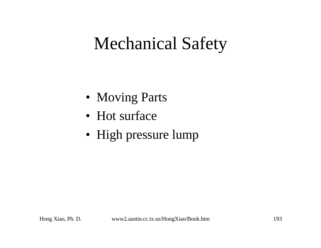## Mechanical Safety

- Moving Parts
- Hot surface
- High pressure lump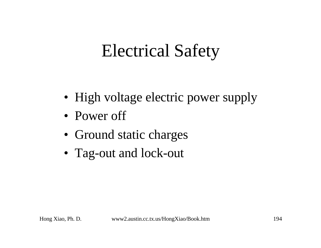# Electrical Safety

- High voltage electric power supply
- Power off
- Ground static charges
- Tag-out and lock-out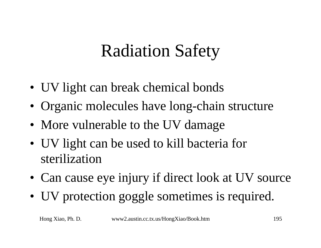# Radiation Safety

- UV light can break chemical bonds
- Organic molecules have long-chain structure
- More vulnerable to the UV damage
- UV light can be used to kill bacteria for sterilization
- Can cause eye injury if direct look at UV source
- UV protection goggle sometimes is required.